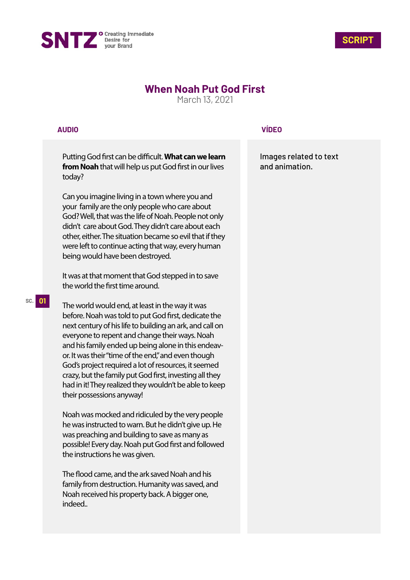



# **When Noah Put God First**

March 13, 2021

## **AUDIO**

Putting God first can be difficult. What can we learn **from Noah** that will help us put God first in our lives today?

Can you imagine living in a town where you and your family are the only people who care about God? Well, that was the life of Noah. People not only didn't care about God. They didn't care about each other, either. The situation became so evil that if they were left to continue acting that way, every human being would have been destroyed.

It was at that moment that God stepped in to save the world the first time around.

The world would end, at least in the way it was before. Noah was told to put God first, dedicate the next century of his life to building an ark, and call on everyone to repent and change their ways. Noah and his family ended up being alone in this endeavor. It was their "time of the end," and even though God's project required a lot of resources, it seemed crazy, but the family put God first, investing all they had in it! They realized they wouldn't be able to keep their possessions anyway!

Noah was mocked and ridiculed by the very people he was instructed to warn. But he didn't give up. He was preaching and building to save as many as possible! Every day. Noah put God first and followed the instructions he was given.

The flood came, and the ark saved Noah and his family from destruction. Humanity was saved, and Noah received his property back. A bigger one, indeed..

# **VÍDEO**

Images related to text and animation.